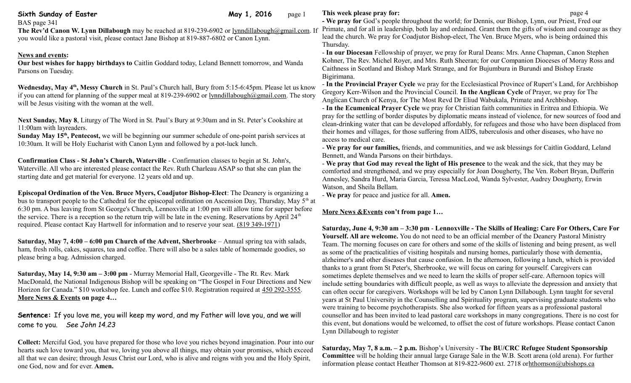| Sixth Sunday of Easter | <b>May 1, 2016</b> page 1 |  |
|------------------------|---------------------------|--|
|------------------------|---------------------------|--|

BAS page 341

**The Rev'd Canon W. Lynn Dillabough** may be reached at 819-239-6902 or [lynndillabough@gmail.com.](mailto:lynndillabough@gmail.com) If you would like a pastoral visit, please contact Jane Bishop at 819-887-6802 or Canon Lynn.

## **News and events:**

**Our best wishes for happy birthdays to** Caitlin Goddard today, Leland Bennett tomorrow, and Wanda Parsons on Tuesday.

**Wednesday, May 4th, Messy Church** in St. Paul's Church hall, Bury from 5:15-6:45pm. Please let us know if you can attend for planning of the supper meal at 819-239-6902 or [lynndillabough@gmail.com.](mailto:lynndillabough@gmail.com) The story will be Jesus visiting with the woman at the well.

**Next Sunday, May 8**, Liturgy of The Word in St. Paul's Bury at 9:30am and in St. Peter's Cookshire at 11:00am with layreaders.

**Sunday May 15th, Pentecost,** we will be beginning our summer schedule of one-point parish services at 10:30am. It will be Holy Eucharist with Canon Lynn and followed by a pot-luck lunch.

**Confirmation Class - St John's Church, Waterville** - Confirmation classes to begin at St. John's, Waterville. All who are interested please contact the Rev. Ruth Charleau ASAP so that she can plan the starting date and get material for everyone. 12 years old and up.

**Episcopal Ordination of the Ven. Bruce Myers, Coadjutor Bishop-Elect**: The Deanery is organizing a bus to transport people to the Cathedral for the episcopal ordination on Ascension Day, Thursday, May  $5<sup>th</sup>$  at 6:30 pm. A bus leaving from St George's Church, Lennoxville at 1:00 pm will allow time for supper before the service. There is a reception so the return trip will be late in the evening. Reservations by April 24<sup>th</sup> required. Please contact Kay Hartwell for information and to reserve your seat. [\(819 349-1971\)](tel:(819%20349-1971)

**Saturday, May 7, 4:00 – 6:00 pm Church of the Advent, Sherbrooke** – Annual spring tea with salads, ham, fresh rolls, cakes, squares, tea and coffee. There will also be a sales table of homemade goodies, so please bring a bag. Admission charged.

**Saturday, May 14, 9:30 am – 3:00 pm** - Murray Memorial Hall, Georgeville - The Rt. Rev. Mark MacDonald, the National Indigenous Bishop will be speaking on "The Gospel in Four Directions and New Horizon for Canada." \$10 workshop fee. Lunch and coffee \$10. Registration required at [450 292-3555.](tel:450%20292-3555) **More News & Events on page 4…**

**Sentence:** If you love me, you will keep my word, and my Father will love you, and we will come to you. *See John 14.23*

**Collect:** Merciful God, you have prepared for those who love you riches beyond imagination. Pour into our hearts such love toward you, that we, loving you above all things, may obtain your promises, which exceed all that we can desire; through Jesus Christ our Lord, who is alive and reigns with you and the Holy Spirit, one God, now and for ever. **Amen.**

## **This week please pray for: page 4**

**- We pray for** God's people throughout the world; for Dennis, our Bishop, Lynn, our Priest, Fred our Primate, and for all in leadership, both lay and ordained. Grant them the gifts of wisdom and courage as they lead the church. We pray for Coadjutor Bishop-elect, The Ven. Bruce Myers, who is being ordained this Thursday.

- **In our Diocesan** Fellowship of prayer, we pray for Rural Deans: Mrs. Anne Chapman, Canon Stephen Kohner, The Rev. Michel Royer, and Mrs. Ruth Sheeran; for our Companion Dioceses of Moray Ross and Caithness in Scotland and Bishop Mark Strange, and for Bujumbura in Burundi and Bishop Eraste Bigirimana.

- **In the Provincial Prayer Cycle** we pray for the Ecclesiastical Province of Rupert's Land, for Archbishop Gregory Kerr-Wilson and the Provincial Council. **In the Anglican Cycle** of Prayer, we pray for The Anglican Church of Kenya, for The Most Revd Dr Eliud Wabukala, Primate and Archbishop.

- **In the Ecumenical Prayer Cycle** we pray for Christian faith communities in Eritrea and Ethiopia. We pray for the settling of border disputes by diplomatic means instead of violence, for new sources of food and clean-drinking water that can be developed affordably, for refugees and those who have been displaced from their homes and villages, for those suffering from AIDS, tuberculosis and other diseases, who have no access to medical care.

- **We pray for our families,** friends, and communities, and we ask blessings for Caitlin Goddard, Leland Bennett, and Wanda Parsons on their birthdays.

- **We pray that God may reveal the light of His presence** to the weak and the sick, that they may be comforted and strengthened, and we pray especially for Joan Dougherty, The Ven. Robert Bryan, Dufferin Annesley, Sandra Hurd, Maria Garcia, Teressa MacLeod, Wanda Sylvester, Audrey Dougherty, Erwin Watson, and Sheila Bellam.

- **We pray** for peace and justice for all. **Amen.**

## **More News &Events con't from page 1…**

**Saturday, June 4, 9:30 am – 3:30 pm** - **Lennoxville - The Skills of Healing: Care For Others, Care For Yourself. All are welcome.** You do not need to be an official member of the Deanery Pastoral Ministry Team. The morning focuses on care for others and some of the skills of listening and being present, as well as some of the practicalities of visiting hospitals and nursing homes, particularly those with dementia, alzheimer's and other diseases that cause confusion. In the afternoon, following a lunch, which is provided thanks to a grant from St Peter's, Sherbrooke, we will focus on caring for yourself. Caregivers can sometimes deplete themselves and we need to learn the skills of proper self-care. Afternoon topics will include setting boundaries with difficult people, as well as ways to alleviate the depression and anxiety that can often occur for caregivers. Workshops will be led by Canon Lynn Dillabough. Lynn taught for several years at St Paul University in the Counselling and Spirituality program, supervising graduate students who were training to become psychotherapists. She also worked for fifteen years as a professional pastoral counsellor and has been invited to lead pastoral care workshops in many congregations. There is no cost for this event, but donations would be welcomed, to offset the cost of future workshops. Please contact Canon Lynn Dillabough to register

**Saturday, May 7, 8 a.m. – 2 p.m.** Bishop's University - **The BU/CRC Refugee Student Sponsorship Committee** will be holding their annual large Garage Sale in the W.B. Scott arena (old arena). For further information please contact Heather Thomson at 819-822-9600 ext. 2718 orhthomson@ubishops.ca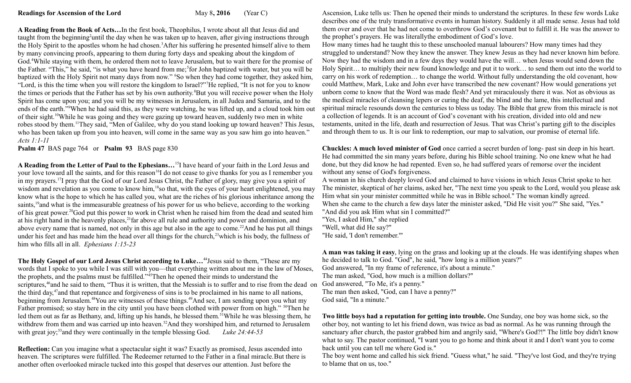**A Reading from the Book of Acts…**In the first book, Theophilus, I wrote about all that Jesus did and taught from the beginning<sup>2</sup>until the day when he was taken up to heaven, after giving instructions through the Holy Spirit to the apostles whom he had chosen.<sup>3</sup>After his suffering he presented himself alive to them by many convincing proofs, appearing to them during forty days and speaking about the kingdom of God.<sup>4</sup>While staying with them, he ordered them not to leave Jerusalem, but to wait there for the promise of the Father. "This," he said, "is what you have heard from me;<sup>5</sup> for John baptized with water, but you will be baptized with the Holy Spirit not many days from now." <sup>6</sup>So when they had come together, they asked him, "Lord, is this the time when you will restore the kingdom to Israel?"<sup>7</sup>He replied, "It is not for you to know the times or periods that the Father has set by his own authority.<sup>8</sup>But you will receive power when the Holy Spirit has come upon you; and you will be my witnesses in Jerusalem, in all Judea and Samaria, and to the ends of the earth."<sup>9</sup>When he had said this, as they were watching, he was lifted up, and a cloud took him out of their sight.<sup>10</sup>While he was going and they were gazing up toward heaven, suddenly two men in white robes stood by them.<sup>11</sup>They said, "Men of Galilee, why do you stand looking up toward heaven? This Jesus, who has been taken up from you into heaven, will come in the same way as you saw him go into heaven." *Acts 1:1-11* 

**Psalm 47** BAS page 764 or **Psalm 93** BAS page 830

**A Reading from the Letter of Paul to the Ephesians…**<sup>15</sup>I have heard of your faith in the Lord Jesus and your love toward all the saints, and for this reason<sup>16</sup>I do not cease to give thanks for you as I remember you in my prayers.<sup>17</sup>I pray that the God of our Lord Jesus Christ, the Father of glory, may give you a spirit of wisdom and revelation as you come to know him,<sup>18</sup>so that, with the eyes of your heart enlightened, you may know what is the hope to which he has called you, what are the riches of his glorious inheritance among the saints,<sup>19</sup> and what is the immeasurable greatness of his power for us who believe, according to the working of his great power.<sup>20</sup>God put this power to work in Christ when he raised him from the dead and seated him at his right hand in the heavenly places,  $^{21}$  far above all rule and authority and power and dominion, and above every name that is named, not only in this age but also in the age to come.<sup>22</sup>And he has put all things under his feet and has made him the head over all things for the church,<sup>23</sup>which is his body, the fullness of him who fills all in all. *Ephesians 1:15-23*

**The Holy Gospel of our Lord Jesus Christ according to Luke…**<sup>44</sup>Jesus said to them, "These are my words that I spoke to you while I was still with you—that everything written about me in the law of Moses, the prophets, and the psalms must be fulfilled."<sup>45</sup>Then he opened their minds to understand the scriptures,<sup>46</sup>and he said to them, "Thus it is written, that the Messiah is to suffer and to rise from the dead on the third day,<sup>47</sup>and that repentance and forgiveness of sins is to be proclaimed in his name to all nations, beginning from Jerusalem.<sup>48</sup>You are witnesses of these things.<sup>49</sup>And see, I am sending upon you what my Father promised; so stay here in the city until you have been clothed with power from on high." <sup>50</sup>Then he led them out as far as Bethany, and, lifting up his hands, he blessed them.<sup>51</sup>While he was blessing them, he withdrew from them and was carried up into heaven.<sup>52</sup>And they worshiped him, and returned to Jerusalem with great joy;<sup>53</sup> and they were continually in the temple blessing God. *Luke 24:44-53* 

**Reflection:** Can you imagine what a spectacular sight it was? Exactly as promised, Jesus ascended into heaven. The scriptures were fulfilled. The Redeemer returned to the Father in a final miracle.But there is another often overlooked miracle tucked into this gospel that deserves our attention. Just before the

Ascension, Luke tells us: Then he opened their minds to understand the scriptures. In these few words Luke describes one of the truly transformative events in human history. Suddenly it all made sense. Jesus had told them over and over that he had not come to overthrow God's covenant but to fulfill it. He was the answer to the prophet's prayers. He was literallythe embodiment of God's love.

How many times had he taught this to these unschooled manual labourers? How many times had they struggled to understand? Now they knew the answer. They knew Jesus as they had never known him before. Now they had the wisdom and in a few days they would have the will… when Jesus would send down the Holy Spirit… to multiply their new found knowledge and put it to work… to send them out into the world to carry on his work of redemption… to change the world. Without fully understanding the old covenant, how could Matthew, Mark, Luke and John ever have transcribed the new covenant? How would generations yet unborn come to know that the Word was made flesh? And yet miraculously there it was. Not as obvious as the medical miracles of cleansing lepers or curing the deaf, the blind and the lame, this intellectual and spiritual miracle resounds down the centuries to bless us today. The Bible that grew from this miracle is not a collection of legends. It is an account of God's covenant with his creation, divided into old and new testaments, united in the life, death and resurrection of Jesus. That was Christ's parting gift to the disciples and through them to us. It is our link to redemption, our map to salvation, our promise of eternal life.

**Chuckles: A much loved minister of God** once carried a secret burden of long- past sin deep in his heart. He had committed the sin many years before, during his Bible school training. No one knew what he had done, but they did know he had repented. Even so, he had suffered years of remorse over the incident without any sense of God's forgiveness.

A woman in his church deeply loved God and claimed to have visions in which Jesus Christ spoke to her. The minister, skeptical of her claims, asked her, "The next time you speak to the Lord, would you please ask Him what sin your minister committed while he was in Bible school." The woman kindly agreed. When she came to the church a few days later the minister asked, "Did He visit you?" She said, "Yes." "And did you ask Him what sin I committed?" "Yes, I asked Him," she replied

"Well, what did He say?"

"He said, 'I don't remember.'"

**A man was taking it easy**, lying on the grass and looking up at the clouds. He was identifying shapes when he decided to talk to God. "God", he said, "how long is a million years?"

God answered, "In my frame of reference, it's about a minute."

The man asked, "God, how much is a million dollars?"

God answered, "To Me, it's a penny."

The man then asked, "God, can I have a penny?"

God said, "In a minute."

**Two little boys had a reputation for getting into trouble.** One Sunday, one boy was home sick, so the other boy, not wanting to let his friend down, was twice as bad as normal. As he was running through the sanctuary after church, the pastor grabbed him and angrily said, "Where's God?!" The little boy didn't know what to say. The pastor continued, "I want you to go home and think about it and I don't want you to come back until you can tell me where God is."

The boy went home and called his sick friend. "Guess what," he said. "They've lost God, and they're trying to blame that on us, too."